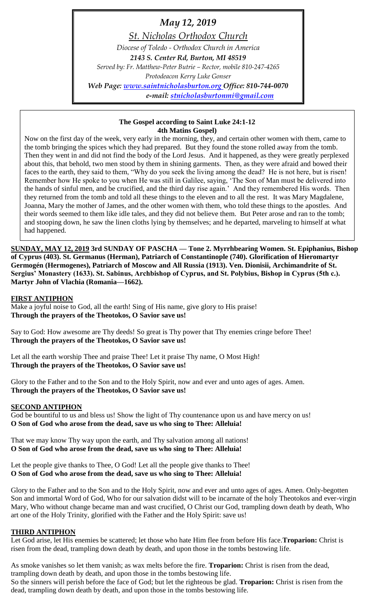# *May 12, 2019*

*St. Nicholas Orthodox Church*

*Diocese of Toledo - Orthodox Church in America*

*2143 S. Center Rd, Burton, MI 48519*

*Served by: Fr. Matthew-Peter Butrie – Rector, mobile 810-247-4265 Protodeacon Kerry Luke Gonser*

*Web Page: [www.saintnicholasburton.org](http://www.saintnicholasburton.org/) Office: 810-744-0070 e-mail: [stnicholasburtonmi@gmail.com](mailto:stnicholasburtonmi@gmail.com)*

> **The Gospel according to Saint Luke 24:1-12 4th Matins Gospel)**

Now on the first day of the week, very early in the morning, they, and certain other women with them, came to the tomb bringing the spices which they had prepared. But they found the stone rolled away from the tomb. Then they went in and did not find the body of the Lord Jesus. And it happened, as they were greatly perplexed about this, that behold, two men stood by them in shining garments. Then, as they were afraid and bowed their faces to the earth, they said to them, "Why do you seek the living among the dead? He is not here, but is risen! Remember how He spoke to you when He was still in Galilee, saying, 'The Son of Man must be delivered into the hands of sinful men, and be crucified, and the third day rise again.' And they remembered His words. Then they returned from the tomb and told all these things to the eleven and to all the rest. It was Mary Magdalene, Joanna, Mary the mother of James, and the other women with them, who told these things to the apostles. And their words seemed to them like idle tales, and they did not believe them. But Peter arose and ran to the tomb; and stooping down, he saw the linen cloths lying by themselves; and he departed, marveling to himself at what had happened.

**SUNDAY, MAY 12, 2019 3rd SUNDAY OF PASCHA — Tone 2. Myrrhbearing Women. St. Epiphanius, Bishop of Cyprus (403). St. Germanus (Herman), Patriarch of Constantinople (740). Glorification of Hieromartyr Germogén (Hermogenes), Patriarch of Moscow and All Russia (1913). Ven. Dionisii, Archimandrite of St. Sergius' Monastery (1633). St. Sabinus, Archbishop of Cyprus, and St. Polybius, Bishop in Cyprus (5th c.). Martyr John of Vlachia (Romania—1662).**

### **FIRST ANTIPHON**

Make a joyful noise to God, all the earth! Sing of His name, give glory to His praise! **Through the prayers of the Theotokos, O Savior save us!**

Say to God: How awesome are Thy deeds! So great is Thy power that Thy enemies cringe before Thee! **Through the prayers of the Theotokos, O Savior save us!**

Let all the earth worship Thee and praise Thee! Let it praise Thy name, O Most High! **Through the prayers of the Theotokos, O Savior save us!**

Glory to the Father and to the Son and to the Holy Spirit, now and ever and unto ages of ages. Amen. **Through the prayers of the Theotokos, O Savior save us!**

### **SECOND ANTIPHON**

God be bountiful to us and bless us! Show the light of Thy countenance upon us and have mercy on us! **O Son of God who arose from the dead, save us who sing to Thee: Alleluia!**

That we may know Thy way upon the earth, and Thy salvation among all nations! **O Son of God who arose from the dead, save us who sing to Thee: Alleluia!**

Let the people give thanks to Thee, O God! Let all the people give thanks to Thee! **O Son of God who arose from the dead, save us who sing to Thee: Alleluia!**

Glory to the Father and to the Son and to the Holy Spirit, now and ever and unto ages of ages. Amen. Only-begotten Son and immortal Word of God, Who for our salvation didst will to be incarnate of the holy Theotokos and ever-virgin Mary, Who without change became man and wast crucified, O Christ our God, trampling down death by death, Who art one of the Holy Trinity, glorified with the Father and the Holy Spirit: save us!

### **THIRD ANTIPHON**

Let God arise, let His enemies be scattered; let those who hate Him flee from before His face.**Troparion:** Christ is risen from the dead, trampling down death by death, and upon those in the tombs bestowing life.

As smoke vanishes so let them vanish; as wax melts before the fire. **Troparion:** Christ is risen from the dead, trampling down death by death, and upon those in the tombs bestowing life. So the sinners will perish before the face of God; but let the righteous be glad. **Troparion:** Christ is risen from the dead, trampling down death by death, and upon those in the tombs bestowing life.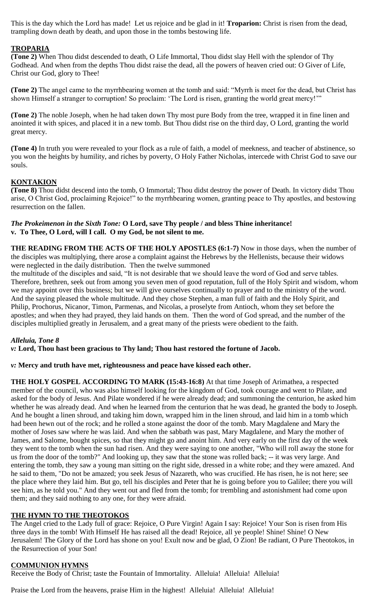This is the day which the Lord has made! Let us rejoice and be glad in it! **Troparion:** Christ is risen from the dead, trampling down death by death, and upon those in the tombs bestowing life.

### **TROPARIA**

**(Tone 2)** When Thou didst descended to death, O Life Immortal, Thou didst slay Hell with the splendor of Thy Godhead. And when from the depths Thou didst raise the dead, all the powers of heaven cried out: O Giver of Life, Christ our God, glory to Thee!

**(Tone 2)** The angel came to the myrrhbearing women at the tomb and said: "Myrrh is meet for the dead, but Christ has shown Himself a stranger to corruption! So proclaim: 'The Lord is risen, granting the world great mercy!'"

**(Tone 2)** The noble Joseph, when he had taken down Thy most pure Body from the tree, wrapped it in fine linen and anointed it with spices, and placed it in a new tomb. But Thou didst rise on the third day, O Lord, granting the world great mercy.

**(Tone 4)** In truth you were revealed to your flock as a rule of faith, a model of meekness, and teacher of abstinence, so you won the heights by humility, and riches by poverty, O Holy Father Nicholas, intercede with Christ God to save our souls.

### **KONTAKION**

**(Tone 8)** Thou didst descend into the tomb, O Immortal; Thou didst destroy the power of Death. In victory didst Thou arise, O Christ God, proclaiming Rejoice!" to the myrrhbearing women, granting peace to Thy apostles, and bestowing resurrection on the fallen.

### *The Prokeimenon in the Sixth Tone:* **O Lord, save Thy people / and bless Thine inheritance! v. To Thee, O Lord, will I call. O my God, be not silent to me.**

**THE READING FROM THE ACTS OF THE HOLY APOSTLES (6:1-7)** Now in those days, when the number of the disciples was multiplying, there arose a complaint against the Hebrews by the Hellenists, because their widows were neglected in the daily distribution. Then the twelve summoned

the multitude of the disciples and said, "It is not desirable that we should leave the word of God and serve tables. Therefore, brethren, seek out from among you seven men of good reputation, full of the Holy Spirit and wisdom, whom we may appoint over this business; but we will give ourselves continually to prayer and to the ministry of the word. And the saying pleased the whole multitude. And they chose Stephen, a man full of faith and the Holy Spirit, and Philip, Prochorus, Nicanor, Timon, Parmenas, and Nicolas, a proselyte from Antioch, whom they set before the apostles; and when they had prayed, they laid hands on them. Then the word of God spread, and the number of the disciples multiplied greatly in Jerusalem, and a great many of the priests were obedient to the faith.

### *Alleluia, Tone 8*

### *v:* **Lord, Thou hast been gracious to Thy land; Thou hast restored the fortune of Jacob.**

#### *v:* **Mercy and truth have met, righteousness and peace have kissed each other.**

**THE HOLY GOSPEL ACCORDING TO MARK (15:43-16:8)** At that time Joseph of Arimathea, a respected member of the council, who was also himself looking for the kingdom of God, took courage and went to Pilate, and asked for the body of Jesus. And Pilate wondered if he were already dead; and summoning the centurion, he asked him whether he was already dead. And when he learned from the centurion that he was dead, he granted the body to Joseph. And he bought a linen shroud, and taking him down, wrapped him in the linen shroud, and laid him in a tomb which had been hewn out of the rock; and he rolled a stone against the door of the tomb. Mary Magdalene and Mary the mother of Joses saw where he was laid. And when the sabbath was past, Mary Magdalene, and Mary the mother of James, and Salome, bought spices, so that they might go and anoint him. And very early on the first day of the week they went to the tomb when the sun had risen. And they were saying to one another, "Who will roll away the stone for us from the door of the tomb?" And looking up, they saw that the stone was rolled back; -- it was very large. And entering the tomb, they saw a young man sitting on the right side, dressed in a white robe; and they were amazed. And he said to them, "Do not be amazed; you seek Jesus of Nazareth, who was crucified. He has risen, he is not here; see the place where they laid him. But go, tell his disciples and Peter that he is going before you to Galilee; there you will see him, as he told you." And they went out and fled from the tomb; for trembling and astonishment had come upon them; and they said nothing to any one, for they were afraid.

### **THE HYMN TO THE THEOTOKOS**

The Angel cried to the Lady full of grace: Rejoice, O Pure Virgin! Again I say: Rejoice! Your Son is risen from His three days in the tomb! With Himself He has raised all the dead! Rejoice, all ye people! Shine! Shine! O New Jerusalem! The Glory of the Lord has shone on you! Exult now and be glad, O Zion! Be radiant, O Pure Theotokos, in the Resurrection of your Son!

### **COMMUNION HYMNS**

Receive the Body of Christ; taste the Fountain of Immortality. Alleluia! Alleluia! Alleluia!

Praise the Lord from the heavens, praise Him in the highest! Alleluia! Alleluia! Alleluia!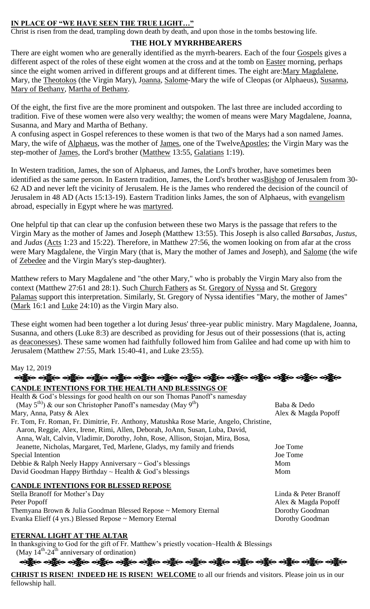### **IN PLACE OF "WE HAVE SEEN THE TRUE LIGHT…"**

Christ is risen from the dead, trampling down death by death, and upon those in the tombs bestowing life.

## **THE HOLY MYRRHBEARERS**

There are eight women who are generally identified as the myrrh-bearers. Each of the four [Gospels](https://orthodoxwiki.org/Gospels) gives a different aspect of the roles of these eight women at the cross and at the tomb on [Easter](https://orthodoxwiki.org/Easter) morning, perhaps since the eight women arrived in different groups and at different times. The eight are[:Mary Magdalene,](https://orthodoxwiki.org/Mary_Magdalene) Mary, the [Theotokos](https://orthodoxwiki.org/Theotokos) (the Virgin Mary), [Joanna,](https://orthodoxwiki.org/Joanna) [Salome-](https://orthodoxwiki.org/Salome)Mary the wife of Cleopas (or Alphaeus), [Susanna,](https://orthodoxwiki.org/Susanna_the_Myrrh-Bearer) [Mary of Bethany,](https://orthodoxwiki.org/Mary_of_Bethany) [Martha of Bethany.](https://orthodoxwiki.org/Martha_of_Bethany)

Of the eight, the first five are the more prominent and outspoken. The last three are included according to tradition. Five of these women were also very wealthy; the women of means were Mary Magdalene, Joanna, Susanna, and Mary and Martha of Bethany.

A confusing aspect in Gospel references to these women is that two of the Marys had a son named James. Mary, the wife of [Alphaeus,](https://orthodoxwiki.org/Apostle_Alphaeus) was the mother of [James,](https://orthodoxwiki.org/Apostle_James_(son_of_Alphaeus)) one of the Twelv[eApostles;](https://orthodoxwiki.org/Apostles) the Virgin Mary was the step-mother of [James,](https://orthodoxwiki.org/Apostle_James_the_Just) the Lord's brother [\(Matthew](https://orthodoxwiki.org/Gospel_of_Matthew) 13:55, [Galatians](https://orthodoxwiki.org/Galatians) 1:19).

In Western tradition, James, the son of Alphaeus, and James, the Lord's brother, have sometimes been identified as the same person. In Eastern tradition, James, the Lord's brother was Bishop of Jerusalem from 30-62 AD and never left the vicinity of Jerusalem. He is the James who rendered the decision of the council of Jerusalem in 48 AD (Acts 15:13-19). Eastern Tradition links James, the son of Alphaeus, with [evangelism](https://orthodoxwiki.org/Evangelism) abroad, especially in Egypt where he was [martyred.](https://orthodoxwiki.org/Martyr)

One helpful tip that can clear up the confusion between these two Marys is the passage that refers to the Virgin Mary as the mother of James and Joseph (Matthew 13:55). This Joseph is also called *Barsabas*, *Justus*, and *Judas* [\(Acts](https://orthodoxwiki.org/Acts_of_the_Apostles) 1:23 and 15:22). Therefore, in Matthew 27:56, the women looking on from afar at the cross were Mary Magdalene, the Virgin Mary (that is, Mary the mother of James and Joseph), and [Salome](https://orthodoxwiki.org/Salome) (the wife of [Zebedee](https://orthodoxwiki.org/Zebedee) and the Virgin Mary's step-daughter).

Matthew refers to Mary Magdalene and "the other Mary," who is probably the Virgin Mary also from the context (Matthew 27:61 and 28:1). Such [Church Fathers](https://orthodoxwiki.org/Church_Fathers) as St. [Gregory of Nyssa](https://orthodoxwiki.org/Gregory_of_Nyssa) and St. [Gregory](https://orthodoxwiki.org/Gregory_Palamas)  [Palamas](https://orthodoxwiki.org/Gregory_Palamas) support this interpretation. Similarly, St. Gregory of Nyssa identifies "Mary, the mother of James" [\(Mark](https://orthodoxwiki.org/Gospel_of_Mark) 16:1 and [Luke](https://orthodoxwiki.org/Gospel_of_Luke) 24:10) as the Virgin Mary also.

These eight women had been together a lot during Jesus' three-year public ministry. Mary Magdalene, Joanna, Susanna, and others (Luke 8:3) are described as providing for Jesus out of their possessions (that is, acting as [deaconesses\)](https://orthodoxwiki.org/Deaconess). These same women had faithfully followed him from Galilee and had come up with him to Jerusalem (Matthew 27:55, Mark 15:40-41, and Luke 23:55).

### May 12, 2019

| અફ્રેૂબ અફ્રેૂબ અફ્રેૂબ અફ્રેૂબ અફ્રેૂબ અફ્રેૂબ અફ્રેૂબ અફ્રેૂબ અફ્રેૂબ અફ્રેૂબ અફ્રેૂબ અફ્રેૂબ અફ્રેબ |  |  |  |
|--------------------------------------------------------------------------------------------------------|--|--|--|
| <b>CANDLE INTENTIONS FOR THE HEALTH AND BLESSINGS OF</b>                                               |  |  |  |

| Health & God's blessings for good health on our son Thomas Panoff's namesday           |                       |
|----------------------------------------------------------------------------------------|-----------------------|
| $(May 5th)$ & our son Christopher Panoff's namesday (May 9 <sup>th</sup> )             | Baba & Dedo           |
| Mary, Anna, Patsy & Alex                                                               | Alex & Magda Popoff   |
| Fr. Tom, Fr. Roman, Fr. Dimitrie, Fr. Anthony, Matushka Rose Marie, Angelo, Christine, |                       |
| Aaron, Reggie, Alex, Irene, Rimi, Allen, Deborah, JoAnn, Susan, Luba, David,           |                       |
| Anna, Walt, Calvin, Vladimir, Dorothy, John, Rose, Allison, Stojan, Mira, Bosa,        |                       |
| Jeanette, Nicholas, Margaret, Ted, Marlene, Gladys, my family and friends              | Joe Tome              |
| Special Intention                                                                      | Joe Tome              |
| Debbie & Ralph Neely Happy Anniversary $\sim$ God's blessings                          | Mom                   |
| David Goodman Happy Birthday ~ Health & God's blessings                                | Mom                   |
| <b>CANDLE INTENTIONS FOR BLESSED REPOSE</b>                                            |                       |
| Stella Branoff for Mother's Day                                                        | Linda & Peter Branoff |
| Peter Popoff                                                                           | Alex & Magda Popoff   |

Themyana Brown & Julia Goodman Blessed Repose ~ Memory Eternal Dorothy Goodman<br>Evanka Elieff (4 yrs.) Blessed Repose ~ Memory Eternal Dorothy Goodman Evanka Elieff (4 yrs.) Blessed Repose ~ Memory Eternal

### **ETERNAL LIGHT AT THE ALTAR**

In thanksgiving to God for the gift of Fr. Matthew's priestly vocation~Health & Blessings (May  $14^{\text{th}}$ -24<sup>th</sup> anniversary of ordination)

ခရွိက ခရွိက ခရွိက ခရွိက ခရွိက ခရွိက ခရွိက ခရွိက ခရွိက ခရွိက ခရွိက ခရွိက ခရွိက ခရွိက ခရွိက

**CHRIST IS RISEN! INDEED HE IS RISEN! WELCOME** to all our friends and visitors. Please join us in our fellowship hall.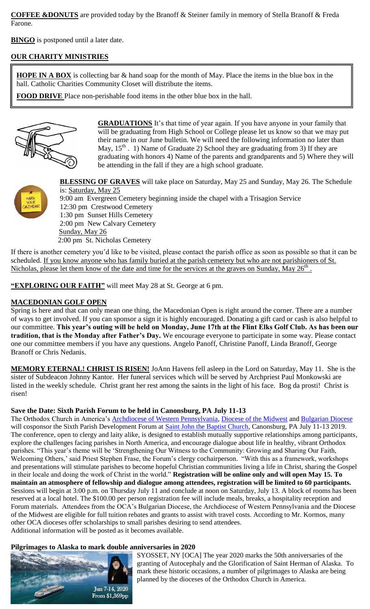**COFFEE &DONUTS** are provided today by the Branoff & Steiner family in memory of Stella Branoff & Freda Farone.

**BINGO** is postponed until a later date.

### **OUR CHARITY MINISTRIES**

**HOPE IN A BOX** is collecting bar & hand soap for the month of May. Place the items in the blue box in the hall. Catholic Charities Community Closet will distribute the items.

**FOOD DRIVE** Place non-perishable food items in the other blue box in the hall.



**GRADUATIONS** It's that time of year again. If you have anyone in your family that will be graduating from High School or College please let us know so that we may put their name in our June bulletin. We will need the following information no later than May,  $15<sup>th</sup>$ . 1) Name of Graduate 2) School they are graduating from 3) If they are graduating with honors 4) Name of the parents and grandparents and 5) Where they will be attending in the fall if they are a high school graduate.



 **BLESSING OF GRAVES** will take place on Saturday, May 25 and Sunday, May 26. The Schedule is: Saturday, May 25 9:00 am Evergreen Cemetery beginning inside the chapel with a Trisagion Service 12:30 pm Crestwood Cemetery 1:30 pm Sunset Hills Cemetery 2:00 pm New Calvary Cemetery Sunday, May 26 2:00 pm St. Nicholas Cemetery

If there is another cemetery you'd like to be visited, please contact the parish office as soon as possible so that it can be scheduled. If you know anyone who has family buried at the parish cemetery but who are not parishioners of St. Nicholas, please let them know of the date and time for the services at the graves on Sunday, May 26<sup>th</sup>.

**"EXPLORING OUR FAITH"** will meet May 28 at St. George at 6 pm.

### **MACEDONIAN GOLF OPEN**

Spring is here and that can only mean one thing, the Macedonian Open is right around the corner. There are a number of ways to get involved. If you can sponsor a sign it is highly encouraged. Donating a gift card or cash is also helpful to our committee. **This year's outing will be held on Monday, June 17th at the Flint Elks Golf Club. As has been our tradition, that is the Monday after Father's Day.** We encourage everyone to participate in some way. Please contact one our committee members if you have any questions. Angelo Panoff, Christine Panoff, Linda Branoff, George Branoff or Chris Nedanis.

**MEMORY ETERNAL! CHRIST IS RISEN!** JoAnn Havens fell asleep in the Lord on Saturday, May 11. She is the sister of Subdeacon Johnny Kantor. Her funeral services which will be served by Archpriest Paul Monkowski are listed in the weekly schedule. Christ grant her rest among the saints in the light of his face. Bog da prosti! Christ is risen!

### **Save the Date: Sixth Parish Forum to be held in Canonsburg, PA July 11-13**

The Orthodox Church in America's **Archdiocese of Western Pennsylvania**, [Diocese of the Midwest](https://www.midwestdiocese.org/) and [Bulgarian Diocese](https://www.bdoca.org/) will cosponsor the Sixth Parish Development Forum at [Saint John the Baptist Church,](http://www.frunner.org/) Canonsburg, PA July 11-13 2019. The conference, open to clergy and laity alike, is designed to establish mutually supportive relationships among participants, explore the challenges facing parishes in North America, and encourage dialogue about life in healthy, vibrant Orthodox parishes. "This year's theme will be 'Strengthening Our Witness to the Community: Growing and Sharing Our Faith, Welcoming Others,' said Priest Stephen Frase, the Forum's clergy cochairperson. "With this as a framework, workshops and presentations will stimulate parishes to become hopeful Christian communities living a life in Christ, sharing the Gospel in their locale and doing the work of Christ in the world." **Registration will be online only and will open May 15. To maintain an atmosphere of fellowship and dialogue among attendees, registration will be limited to 60 participants.** Sessions will begin at 3:00 p.m. on Thursday July 11 and conclude at noon on Saturday, July 13. A block of rooms has been reserved at a local hotel. The \$100.00 per person registration fee will include meals, breaks, a hospitality reception and Forum materials. Attendees from the OCA's Bulgarian Diocese, the Archdiocese of Western Pennsylvania and the Diocese of the Midwest are eligible for full tuition rebates and grants to assist with travel costs. According to Mr. Kormos, many other OCA dioceses offer scholarships to small parishes desiring to send attendees. Additional information will be posted as it becomes available.

### **[Pilgrimages to Alaska to mark double a](https://oca.org/cdn/images/news/2019-0410-akpilgrimage.jpg)nniversaries in 2020**



SYOSSET, NY [OCA] The year 2020 marks the 50th anniversaries of the granting of Autocephaly and the Glorification of Saint Herman of Alaska. To mark these historic occasions, a number of pilgrimages to Alaska are being planned by the dioceses of the Orthodox Church in America.